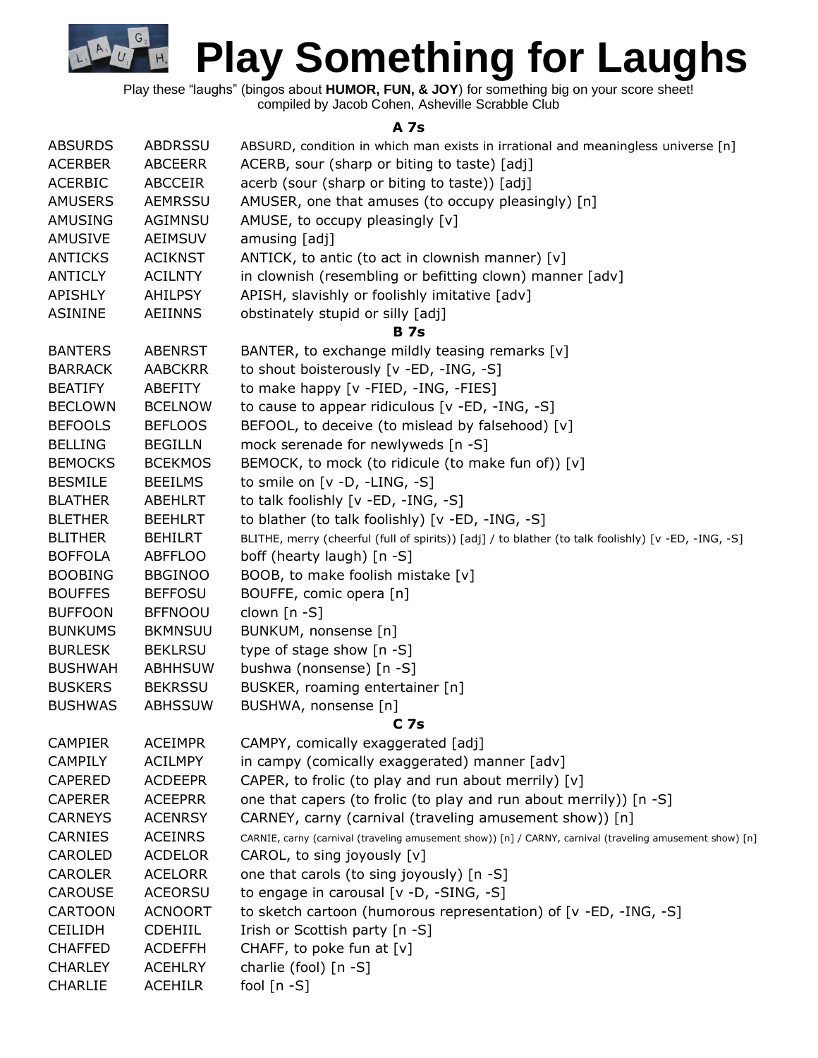Play these "laughs" (bingos about **HUMOR, FUN, & JOY**) for something big on your score sheet!

G

 $H<sub>4</sub>$ 

compiled by Jacob Cohen, Asheville Scrabble Club

**A 7s**

| <b>ABSURDS</b> | <b>ABDRSSU</b> | ABSURD, condition in which man exists in irrational and meaningless universe [n]                         |  |  |  |  |
|----------------|----------------|----------------------------------------------------------------------------------------------------------|--|--|--|--|
| <b>ACERBER</b> | <b>ABCEERR</b> | ACERB, sour (sharp or biting to taste) [adj]                                                             |  |  |  |  |
| <b>ACERBIC</b> | <b>ABCCEIR</b> | acerb (sour (sharp or biting to taste)) [adj]                                                            |  |  |  |  |
| <b>AMUSERS</b> | <b>AEMRSSU</b> | AMUSER, one that amuses (to occupy pleasingly) [n]                                                       |  |  |  |  |
| <b>AMUSING</b> | AGIMNSU        | AMUSE, to occupy pleasingly [v]                                                                          |  |  |  |  |
| <b>AMUSIVE</b> | <b>AEIMSUV</b> | amusing [adj]                                                                                            |  |  |  |  |
| <b>ANTICKS</b> | <b>ACIKNST</b> | ANTICK, to antic (to act in clownish manner) [v]                                                         |  |  |  |  |
| <b>ANTICLY</b> | <b>ACILNTY</b> | in clownish (resembling or befitting clown) manner [adv]                                                 |  |  |  |  |
| <b>APISHLY</b> | <b>AHILPSY</b> | APISH, slavishly or foolishly imitative [adv]                                                            |  |  |  |  |
| <b>ASININE</b> | <b>AEIINNS</b> | obstinately stupid or silly [adj]                                                                        |  |  |  |  |
|                |                | <b>B</b> 7s                                                                                              |  |  |  |  |
| <b>BANTERS</b> | <b>ABENRST</b> | BANTER, to exchange mildly teasing remarks [v]                                                           |  |  |  |  |
| <b>BARRACK</b> | <b>AABCKRR</b> | to shout boisterously [v -ED, -ING, -S]                                                                  |  |  |  |  |
| <b>BEATIFY</b> | ABEFITY        | to make happy [v -FIED, -ING, -FIES]                                                                     |  |  |  |  |
| <b>BECLOWN</b> | <b>BCELNOW</b> | to cause to appear ridiculous [v -ED, -ING, -S]                                                          |  |  |  |  |
| <b>BEFOOLS</b> | <b>BEFLOOS</b> | BEFOOL, to deceive (to mislead by falsehood) [v]                                                         |  |  |  |  |
| <b>BELLING</b> | <b>BEGILLN</b> | mock serenade for newlyweds [n -S]                                                                       |  |  |  |  |
| <b>BEMOCKS</b> | <b>BCEKMOS</b> | BEMOCK, to mock (to ridicule (to make fun of)) [v]                                                       |  |  |  |  |
| <b>BESMILE</b> | <b>BEEILMS</b> | to smile on $[v - D, -LING, -S]$                                                                         |  |  |  |  |
| <b>BLATHER</b> | <b>ABEHLRT</b> | to talk foolishly [v -ED, -ING, -S]                                                                      |  |  |  |  |
| <b>BLETHER</b> | <b>BEEHLRT</b> | to blather (to talk foolishly) [v -ED, -ING, -S]                                                         |  |  |  |  |
| <b>BLITHER</b> | <b>BEHILRT</b> |                                                                                                          |  |  |  |  |
| <b>BOFFOLA</b> | <b>ABFFLOO</b> | BLITHE, merry (cheerful (full of spirits)) [adj] / to blather (to talk foolishly) [v -ED, -ING, -S]      |  |  |  |  |
| <b>BOOBING</b> | <b>BBGINOO</b> | boff (hearty laugh) [n -S]                                                                               |  |  |  |  |
| <b>BOUFFES</b> | <b>BEFFOSU</b> | BOOB, to make foolish mistake [v]                                                                        |  |  |  |  |
| <b>BUFFOON</b> | <b>BFFNOOU</b> | BOUFFE, comic opera [n]                                                                                  |  |  |  |  |
|                |                | clown [n -S]                                                                                             |  |  |  |  |
| <b>BUNKUMS</b> | <b>BKMNSUU</b> | BUNKUM, nonsense [n]                                                                                     |  |  |  |  |
| <b>BURLESK</b> | <b>BEKLRSU</b> | type of stage show [n -S]                                                                                |  |  |  |  |
| <b>BUSHWAH</b> | <b>ABHHSUW</b> | bushwa (nonsense) [n -S]                                                                                 |  |  |  |  |
| <b>BUSKERS</b> | <b>BEKRSSU</b> | BUSKER, roaming entertainer [n]                                                                          |  |  |  |  |
| <b>BUSHWAS</b> | <b>ABHSSUW</b> | BUSHWA, nonsense [n]                                                                                     |  |  |  |  |
|                |                | C <sub>7s</sub>                                                                                          |  |  |  |  |
| <b>CAMPIER</b> | <b>ACEIMPR</b> | CAMPY, comically exaggerated [adj]                                                                       |  |  |  |  |
| <b>CAMPILY</b> | <b>ACILMPY</b> | in campy (comically exaggerated) manner [adv]                                                            |  |  |  |  |
| <b>CAPERED</b> | <b>ACDEEPR</b> | CAPER, to frolic (to play and run about merrily) [v]                                                     |  |  |  |  |
| <b>CAPERER</b> | <b>ACEEPRR</b> | one that capers (to frolic (to play and run about merrily)) [n -S]                                       |  |  |  |  |
| <b>CARNEYS</b> | <b>ACENRSY</b> | CARNEY, carny (carnival (traveling amusement show)) [n]                                                  |  |  |  |  |
| <b>CARNIES</b> | <b>ACEINRS</b> | CARNIE, carny (carnival (traveling amusement show)) [n] / CARNY, carnival (traveling amusement show) [n] |  |  |  |  |
| CAROLED        | <b>ACDELOR</b> | CAROL, to sing joyously [v]                                                                              |  |  |  |  |
| <b>CAROLER</b> | <b>ACELORR</b> | one that carols (to sing joyously) [n -S]                                                                |  |  |  |  |
| <b>CAROUSE</b> | <b>ACEORSU</b> | to engage in carousal [v -D, -SING, -S]                                                                  |  |  |  |  |
| <b>CARTOON</b> | <b>ACNOORT</b> | to sketch cartoon (humorous representation) of [v -ED, -ING, -S]                                         |  |  |  |  |
| <b>CEILIDH</b> | <b>CDEHIIL</b> | Irish or Scottish party [n -S]                                                                           |  |  |  |  |
| <b>CHAFFED</b> | <b>ACDEFFH</b> | CHAFF, to poke fun at $[v]$                                                                              |  |  |  |  |
| <b>CHARLEY</b> | <b>ACEHLRY</b> | charlie (fool) [n -S]                                                                                    |  |  |  |  |
| <b>CHARLIE</b> | <b>ACEHILR</b> | fool $[n - S]$                                                                                           |  |  |  |  |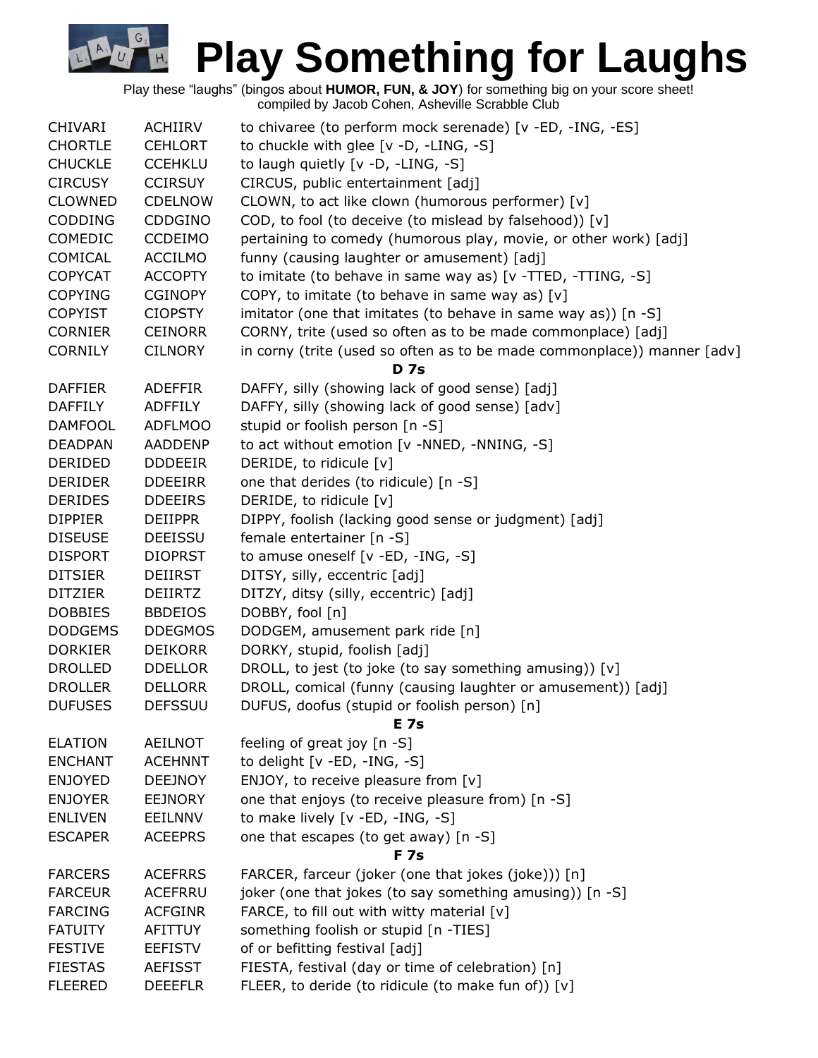Play these "laughs" (bingos about **HUMOR, FUN, & JOY**) for something big on your score sheet! compiled by Jacob Cohen, Asheville Scrabble Club

G.

| <b>CHIVARI</b> | ACHIIRV        | to chivaree (to perform mock serenade) [v -ED, -ING, -ES]               |  |  |  |
|----------------|----------------|-------------------------------------------------------------------------|--|--|--|
| <b>CHORTLE</b> | <b>CEHLORT</b> | to chuckle with glee [v -D, -LING, -S]                                  |  |  |  |
| <b>CHUCKLE</b> | <b>CCEHKLU</b> | to laugh quietly [v -D, -LING, -S]                                      |  |  |  |
| <b>CIRCUSY</b> | <b>CCIRSUY</b> | CIRCUS, public entertainment [adj]                                      |  |  |  |
| <b>CLOWNED</b> | <b>CDELNOW</b> | CLOWN, to act like clown (humorous performer) [v]                       |  |  |  |
| <b>CODDING</b> | <b>CDDGINO</b> | COD, to fool (to deceive (to mislead by falsehood)) [v]                 |  |  |  |
| COMEDIC        | <b>CCDEIMO</b> | pertaining to comedy (humorous play, movie, or other work) [adj]        |  |  |  |
| COMICAL        | <b>ACCILMO</b> | funny (causing laughter or amusement) [adj]                             |  |  |  |
| <b>COPYCAT</b> | <b>ACCOPTY</b> | to imitate (to behave in same way as) [v -TTED, -TTING, -S]             |  |  |  |
| <b>COPYING</b> | <b>CGINOPY</b> | COPY, to imitate (to behave in same way as) [v]                         |  |  |  |
| <b>COPYIST</b> | <b>CIOPSTY</b> | imitator (one that imitates (to behave in same way as)) [n -S]          |  |  |  |
| <b>CORNIER</b> | <b>CEINORR</b> | CORNY, trite (used so often as to be made commonplace) [adj]            |  |  |  |
| <b>CORNILY</b> | <b>CILNORY</b> | in corny (trite (used so often as to be made commonplace)) manner [adv] |  |  |  |
|                |                | <b>D</b> 7s                                                             |  |  |  |
| <b>DAFFIER</b> | <b>ADEFFIR</b> | DAFFY, silly (showing lack of good sense) [adj]                         |  |  |  |
| <b>DAFFILY</b> | <b>ADFFILY</b> | DAFFY, silly (showing lack of good sense) [adv]                         |  |  |  |
| <b>DAMFOOL</b> | <b>ADFLMOO</b> | stupid or foolish person [n -S]                                         |  |  |  |
| <b>DEADPAN</b> | <b>AADDENP</b> | to act without emotion [v -NNED, -NNING, -S]                            |  |  |  |
| DERIDED        | <b>DDDEEIR</b> | DERIDE, to ridicule [v]                                                 |  |  |  |
| <b>DERIDER</b> | <b>DDEEIRR</b> | one that derides (to ridicule) [n -S]                                   |  |  |  |
| <b>DERIDES</b> | <b>DDEEIRS</b> | DERIDE, to ridicule [v]                                                 |  |  |  |
| <b>DIPPIER</b> | <b>DEIIPPR</b> | DIPPY, foolish (lacking good sense or judgment) [adj]                   |  |  |  |
| <b>DISEUSE</b> | <b>DEEISSU</b> | female entertainer [n -S]                                               |  |  |  |
| <b>DISPORT</b> | <b>DIOPRST</b> | to amuse oneself $[v - ED, -ING, -S]$                                   |  |  |  |
| <b>DITSIER</b> | DEIIRST        | DITSY, silly, eccentric [adj]                                           |  |  |  |
| <b>DITZIER</b> | <b>DEIIRTZ</b> | DITZY, ditsy (silly, eccentric) [adj]                                   |  |  |  |
| <b>DOBBIES</b> | <b>BBDEIOS</b> | DOBBY, fool [n]                                                         |  |  |  |
| <b>DODGEMS</b> | <b>DDEGMOS</b> | DODGEM, amusement park ride [n]                                         |  |  |  |
| <b>DORKIER</b> | <b>DEIKORR</b> | DORKY, stupid, foolish [adj]                                            |  |  |  |
| <b>DROLLED</b> | <b>DDELLOR</b> | DROLL, to jest (to joke (to say something amusing)) [v]                 |  |  |  |
| <b>DROLLER</b> | <b>DELLORR</b> | DROLL, comical (funny (causing laughter or amusement)) [adj]            |  |  |  |
| <b>DUFUSES</b> | <b>DEFSSUU</b> | DUFUS, doofus (stupid or foolish person) [n]                            |  |  |  |
|                |                | E 7s                                                                    |  |  |  |
| <b>ELATION</b> | <b>AEILNOT</b> | feeling of great joy [n -S]                                             |  |  |  |
| <b>ENCHANT</b> | <b>ACEHNNT</b> | to delight [v -ED, -ING, -S]                                            |  |  |  |
| <b>ENJOYED</b> | <b>DEEJNOY</b> | ENJOY, to receive pleasure from [v]                                     |  |  |  |
| <b>ENJOYER</b> | <b>EEJNORY</b> | one that enjoys (to receive pleasure from) [n -S]                       |  |  |  |
| <b>ENLIVEN</b> | <b>EEILNNV</b> | to make lively [v -ED, -ING, -S]                                        |  |  |  |
| <b>ESCAPER</b> | <b>ACEEPRS</b> | one that escapes (to get away) [n -S]                                   |  |  |  |
|                |                | <b>F</b> 7s                                                             |  |  |  |
| <b>FARCERS</b> | <b>ACEFRRS</b> | FARCER, farceur (joker (one that jokes (joke))) [n]                     |  |  |  |
| <b>FARCEUR</b> | ACEFRRU        | joker (one that jokes (to say something amusing)) [n -S]                |  |  |  |
| <b>FARCING</b> | <b>ACFGINR</b> | FARCE, to fill out with witty material [v]                              |  |  |  |
| <b>FATUITY</b> | AFITTUY        | something foolish or stupid [n -TIES]                                   |  |  |  |
| <b>FESTIVE</b> | <b>EEFISTV</b> | of or befitting festival [adj]                                          |  |  |  |
| <b>FIESTAS</b> | <b>AEFISST</b> | FIESTA, festival (day or time of celebration) [n]                       |  |  |  |
| <b>FLEERED</b> | <b>DEEEFLR</b> | FLEER, to deride (to ridicule (to make fun of)) [v]                     |  |  |  |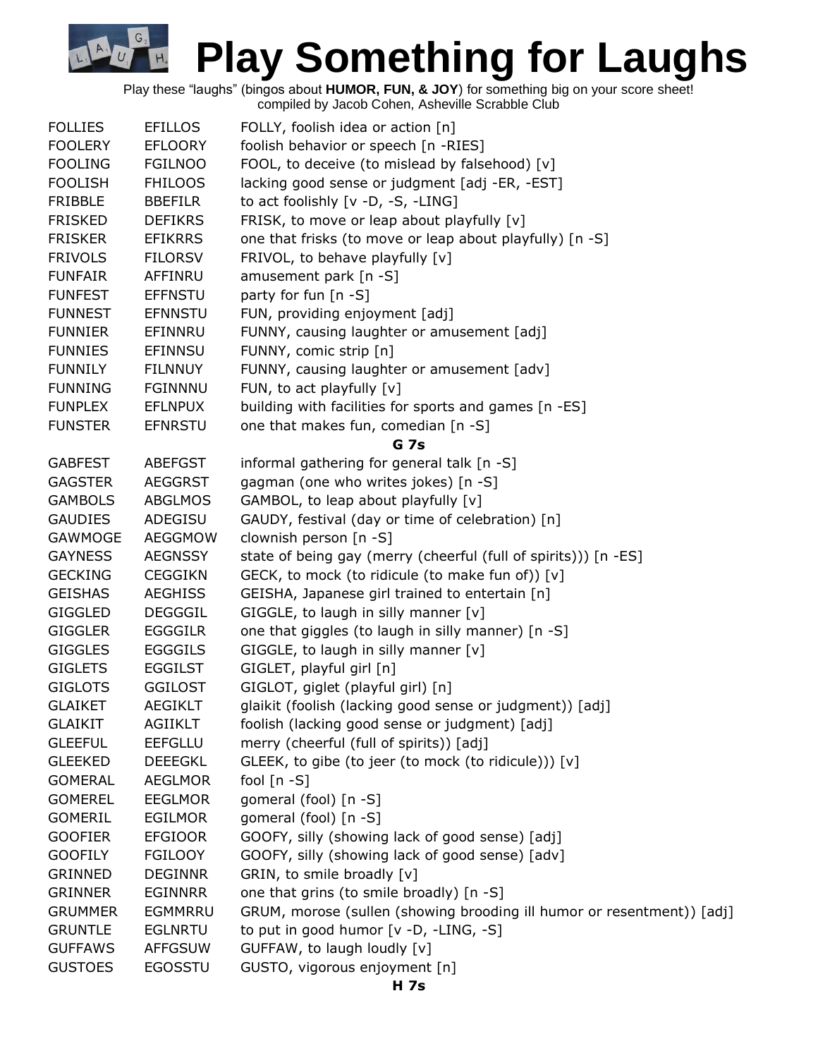Play these "laughs" (bingos about **HUMOR, FUN, & JOY**) for something big on your score sheet! compiled by Jacob Cohen, Asheville Scrabble Club

G

| <b>FOLLIES</b> | <b>EFILLOS</b> | FOLLY, foolish idea or action [n]                                      |  |  |  |
|----------------|----------------|------------------------------------------------------------------------|--|--|--|
| <b>FOOLERY</b> | <b>EFLOORY</b> | foolish behavior or speech [n -RIES]                                   |  |  |  |
| <b>FOOLING</b> | <b>FGILNOO</b> | FOOL, to deceive (to mislead by falsehood) [v]                         |  |  |  |
| <b>FOOLISH</b> | <b>FHILOOS</b> | lacking good sense or judgment [adj -ER, -EST]                         |  |  |  |
| <b>FRIBBLE</b> | <b>BBEFILR</b> | to act foolishly [v -D, -S, -LING]                                     |  |  |  |
| <b>FRISKED</b> | <b>DEFIKRS</b> | FRISK, to move or leap about playfully [v]                             |  |  |  |
| <b>FRISKER</b> | <b>EFIKRRS</b> | one that frisks (to move or leap about playfully) [n -S]               |  |  |  |
| <b>FRIVOLS</b> | <b>FILORSV</b> | FRIVOL, to behave playfully [v]                                        |  |  |  |
| <b>FUNFAIR</b> | AFFINRU        | amusement park [n -S]                                                  |  |  |  |
| <b>FUNFEST</b> | <b>EFFNSTU</b> | party for fun [n -S]                                                   |  |  |  |
| <b>FUNNEST</b> | <b>EFNNSTU</b> | FUN, providing enjoyment [adj]                                         |  |  |  |
| <b>FUNNIER</b> | EFINNRU        | FUNNY, causing laughter or amusement [adj]                             |  |  |  |
| <b>FUNNIES</b> | <b>EFINNSU</b> | FUNNY, comic strip [n]                                                 |  |  |  |
| <b>FUNNILY</b> | <b>FILNNUY</b> | FUNNY, causing laughter or amusement [adv]                             |  |  |  |
| <b>FUNNING</b> | <b>FGINNNU</b> | FUN, to act playfully [v]                                              |  |  |  |
| <b>FUNPLEX</b> | <b>EFLNPUX</b> | building with facilities for sports and games [n -ES]                  |  |  |  |
| <b>FUNSTER</b> | <b>EFNRSTU</b> | one that makes fun, comedian [n -S]                                    |  |  |  |
|                |                | <b>G</b> 7s                                                            |  |  |  |
| <b>GABFEST</b> | <b>ABEFGST</b> | informal gathering for general talk [n -S]                             |  |  |  |
| <b>GAGSTER</b> | <b>AEGGRST</b> | gagman (one who writes jokes) [n -S]                                   |  |  |  |
| <b>GAMBOLS</b> | <b>ABGLMOS</b> | GAMBOL, to leap about playfully [v]                                    |  |  |  |
| <b>GAUDIES</b> | ADEGISU        | GAUDY, festival (day or time of celebration) [n]                       |  |  |  |
| GAWMOGE        | AEGGMOW        | clownish person [n -S]                                                 |  |  |  |
| <b>GAYNESS</b> | <b>AEGNSSY</b> | state of being gay (merry (cheerful (full of spirits))) [n -ES]        |  |  |  |
| <b>GECKING</b> | <b>CEGGIKN</b> | GECK, to mock (to ridicule (to make fun of)) [v]                       |  |  |  |
| <b>GEISHAS</b> | <b>AEGHISS</b> | GEISHA, Japanese girl trained to entertain [n]                         |  |  |  |
| <b>GIGGLED</b> | <b>DEGGGIL</b> | GIGGLE, to laugh in silly manner $[v]$                                 |  |  |  |
| <b>GIGGLER</b> | <b>EGGGILR</b> | one that giggles (to laugh in silly manner) [n -S]                     |  |  |  |
| <b>GIGGLES</b> | <b>EGGGILS</b> | GIGGLE, to laugh in silly manner [v]                                   |  |  |  |
| <b>GIGLETS</b> | <b>EGGILST</b> | GIGLET, playful girl [n]                                               |  |  |  |
| <b>GIGLOTS</b> | <b>GGILOST</b> | GIGLOT, giglet (playful girl) [n]                                      |  |  |  |
| <b>GLAIKET</b> | <b>AEGIKLT</b> | glaikit (foolish (lacking good sense or judgment)) [adj]               |  |  |  |
| <b>GLAIKIT</b> | AGIIKLT        | foolish (lacking good sense or judgment) [adj]                         |  |  |  |
| <b>GLEEFUL</b> | <b>EEFGLLU</b> | merry (cheerful (full of spirits)) [adj]                               |  |  |  |
| <b>GLEEKED</b> | <b>DEEEGKL</b> | GLEEK, to gibe (to jeer (to mock (to ridicule))) [v]                   |  |  |  |
| <b>GOMERAL</b> | <b>AEGLMOR</b> | fool $[n - S]$                                                         |  |  |  |
| <b>GOMEREL</b> | <b>EEGLMOR</b> | gomeral (fool) [n -S]                                                  |  |  |  |
| <b>GOMERIL</b> | <b>EGILMOR</b> | gomeral (fool) [n -S]                                                  |  |  |  |
| <b>GOOFIER</b> | <b>EFGIOOR</b> | GOOFY, silly (showing lack of good sense) [adj]                        |  |  |  |
| <b>GOOFILY</b> | <b>FGILOOY</b> | GOOFY, silly (showing lack of good sense) [adv]                        |  |  |  |
| <b>GRINNED</b> | <b>DEGINNR</b> | GRIN, to smile broadly [v]                                             |  |  |  |
| <b>GRINNER</b> | <b>EGINNRR</b> | one that grins (to smile broadly) [n -S]                               |  |  |  |
| <b>GRUMMER</b> | EGMMRRU        | GRUM, morose (sullen (showing brooding ill humor or resentment)) [adj] |  |  |  |
| <b>GRUNTLE</b> | <b>EGLNRTU</b> | to put in good humor [v -D, -LING, -S]                                 |  |  |  |
| <b>GUFFAWS</b> | <b>AFFGSUW</b> | GUFFAW, to laugh loudly [v]                                            |  |  |  |
| <b>GUSTOES</b> | <b>EGOSSTU</b> | GUSTO, vigorous enjoyment [n]                                          |  |  |  |
|                |                |                                                                        |  |  |  |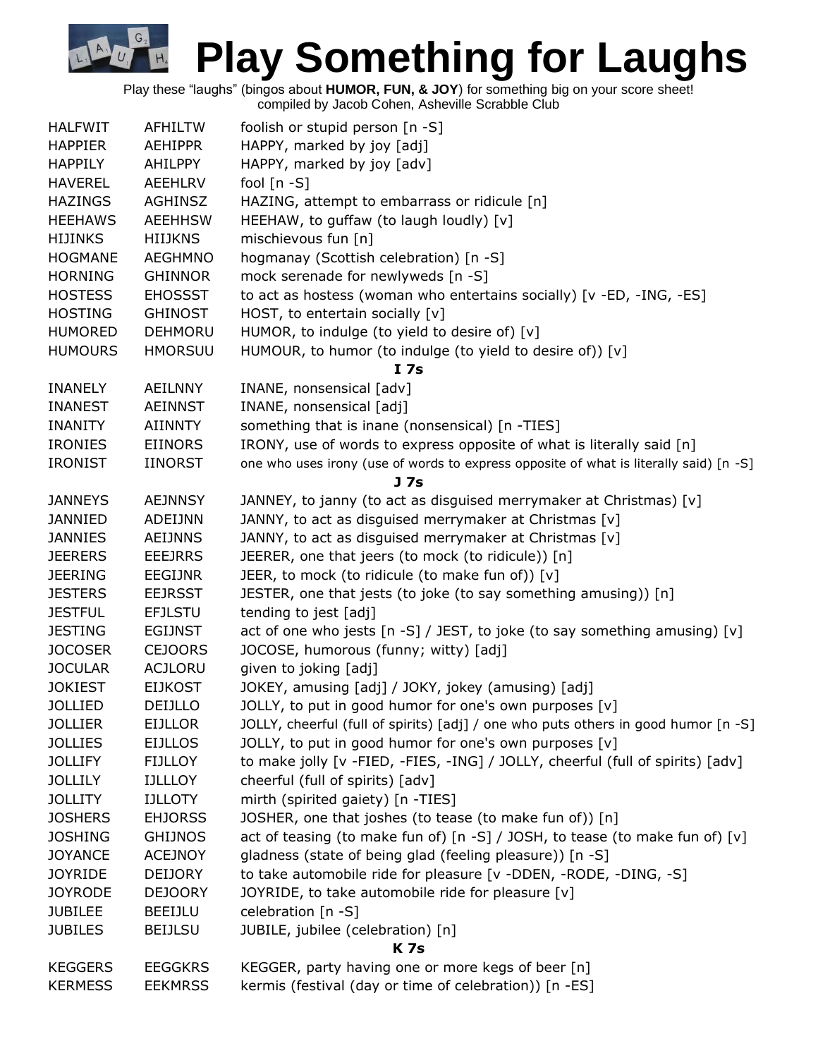Play these "laughs" (bingos about **HUMOR, FUN, & JOY**) for something big on your score sheet!

compiled by Jacob Cohen, Asheville Scrabble Club

G.

| <b>HALFWIT</b> | <b>AFHILTW</b> | foolish or stupid person [n -S]                                                        |  |  |  |  |
|----------------|----------------|----------------------------------------------------------------------------------------|--|--|--|--|
| <b>HAPPIER</b> | <b>AEHIPPR</b> | HAPPY, marked by joy [adj]                                                             |  |  |  |  |
| <b>HAPPILY</b> | AHILPPY        | HAPPY, marked by joy [adv]                                                             |  |  |  |  |
| <b>HAVEREL</b> | <b>AEEHLRV</b> | fool $[n - S]$                                                                         |  |  |  |  |
| <b>HAZINGS</b> | <b>AGHINSZ</b> | HAZING, attempt to embarrass or ridicule [n]                                           |  |  |  |  |
| <b>HEEHAWS</b> | <b>AEEHHSW</b> | HEEHAW, to guffaw (to laugh loudly) [v]                                                |  |  |  |  |
| <b>HIJINKS</b> | <b>HIIJKNS</b> | mischievous fun [n]                                                                    |  |  |  |  |
| <b>HOGMANE</b> | <b>AEGHMNO</b> | hogmanay (Scottish celebration) [n -S]                                                 |  |  |  |  |
| <b>HORNING</b> | <b>GHINNOR</b> | mock serenade for newlyweds [n -S]                                                     |  |  |  |  |
| <b>HOSTESS</b> | <b>EHOSSST</b> | to act as hostess (woman who entertains socially) [v -ED, -ING, -ES]                   |  |  |  |  |
| <b>HOSTING</b> | <b>GHINOST</b> | HOST, to entertain socially [v]                                                        |  |  |  |  |
| <b>HUMORED</b> | <b>DEHMORU</b> | HUMOR, to indulge (to yield to desire of) [v]                                          |  |  |  |  |
| <b>HUMOURS</b> | <b>HMORSUU</b> | HUMOUR, to humor (to indulge (to yield to desire of)) [v]                              |  |  |  |  |
|                |                | I 7s                                                                                   |  |  |  |  |
| <b>INANELY</b> | <b>AEILNNY</b> | INANE, nonsensical [adv]                                                               |  |  |  |  |
| <b>INANEST</b> | <b>AEINNST</b> | INANE, nonsensical [adj]                                                               |  |  |  |  |
| <b>INANITY</b> | <b>AIINNTY</b> | something that is inane (nonsensical) [n -TIES]                                        |  |  |  |  |
| <b>IRONIES</b> | <b>EIINORS</b> | IRONY, use of words to express opposite of what is literally said [n]                  |  |  |  |  |
| <b>IRONIST</b> | <b>IINORST</b> | one who uses irony (use of words to express opposite of what is literally said) [n -S] |  |  |  |  |
|                |                | J <sub>7s</sub>                                                                        |  |  |  |  |
| <b>JANNEYS</b> | <b>AEJNNSY</b> | JANNEY, to janny (to act as disguised merrymaker at Christmas) [v]                     |  |  |  |  |
| <b>JANNIED</b> | ADEIJNN        | JANNY, to act as disguised merrymaker at Christmas [v]                                 |  |  |  |  |
| <b>JANNIES</b> | <b>AEIJNNS</b> | JANNY, to act as disguised merrymaker at Christmas [v]                                 |  |  |  |  |
| <b>JEERERS</b> | <b>EEEJRRS</b> | JEERER, one that jeers (to mock (to ridicule)) [n]                                     |  |  |  |  |
| <b>JEERING</b> | <b>EEGIJNR</b> | JEER, to mock (to ridicule (to make fun of)) [v]                                       |  |  |  |  |
| <b>JESTERS</b> | <b>EEJRSST</b> | JESTER, one that jests (to joke (to say something amusing)) [n]                        |  |  |  |  |
| <b>JESTFUL</b> | <b>EFJLSTU</b> | tending to jest [adj]                                                                  |  |  |  |  |
| <b>JESTING</b> | <b>EGIJNST</b> | act of one who jests [n -S] / JEST, to joke (to say something amusing) [v]             |  |  |  |  |
| <b>JOCOSER</b> | <b>CEJOORS</b> | JOCOSE, humorous (funny; witty) [adj]                                                  |  |  |  |  |
| <b>JOCULAR</b> | <b>ACJLORU</b> | given to joking [adj]                                                                  |  |  |  |  |
| <b>JOKIEST</b> | <b>EIJKOST</b> | JOKEY, amusing [adj] / JOKY, jokey (amusing) [adj]                                     |  |  |  |  |
| <b>JOLLIED</b> | DEIJLLO        | JOLLY, to put in good humor for one's own purposes [v]                                 |  |  |  |  |
| <b>JOLLIER</b> | <b>EIJLLOR</b> | JOLLY, cheerful (full of spirits) [adj] / one who puts others in good humor [n -S]     |  |  |  |  |
| <b>JOLLIES</b> | <b>EIJLLOS</b> | JOLLY, to put in good humor for one's own purposes [v]                                 |  |  |  |  |
| <b>JOLLIFY</b> | <b>FIJLLOY</b> | to make jolly [v -FIED, -FIES, -ING] / JOLLY, cheerful (full of spirits) [adv]         |  |  |  |  |
| <b>JOLLILY</b> | <b>IJLLLOY</b> | cheerful (full of spirits) [adv]                                                       |  |  |  |  |
| <b>JOLLITY</b> | <b>IJLLOTY</b> | mirth (spirited gaiety) [n -TIES]                                                      |  |  |  |  |
| <b>JOSHERS</b> | <b>EHJORSS</b> | JOSHER, one that joshes (to tease (to make fun of)) [n]                                |  |  |  |  |
| <b>JOSHING</b> | <b>GHIJNOS</b> | act of teasing (to make fun of) [n -S] / JOSH, to tease (to make fun of) [v]           |  |  |  |  |
| <b>JOYANCE</b> | <b>ACEJNOY</b> | gladness (state of being glad (feeling pleasure)) [n -S]                               |  |  |  |  |
| <b>JOYRIDE</b> | <b>DEIJORY</b> | to take automobile ride for pleasure [v -DDEN, -RODE, -DING, -S]                       |  |  |  |  |
| <b>JOYRODE</b> | <b>DEJOORY</b> | JOYRIDE, to take automobile ride for pleasure [v]                                      |  |  |  |  |
| <b>JUBILEE</b> | BEEIJLU        | celebration [n -S]                                                                     |  |  |  |  |
| <b>JUBILES</b> | <b>BEIJLSU</b> | JUBILE, jubilee (celebration) [n]                                                      |  |  |  |  |
|                |                | <b>K7s</b>                                                                             |  |  |  |  |
| <b>KEGGERS</b> | <b>EEGGKRS</b> | KEGGER, party having one or more kegs of beer [n]                                      |  |  |  |  |
| <b>KERMESS</b> | <b>EEKMRSS</b> | kermis (festival (day or time of celebration)) [n -ES]                                 |  |  |  |  |
|                |                |                                                                                        |  |  |  |  |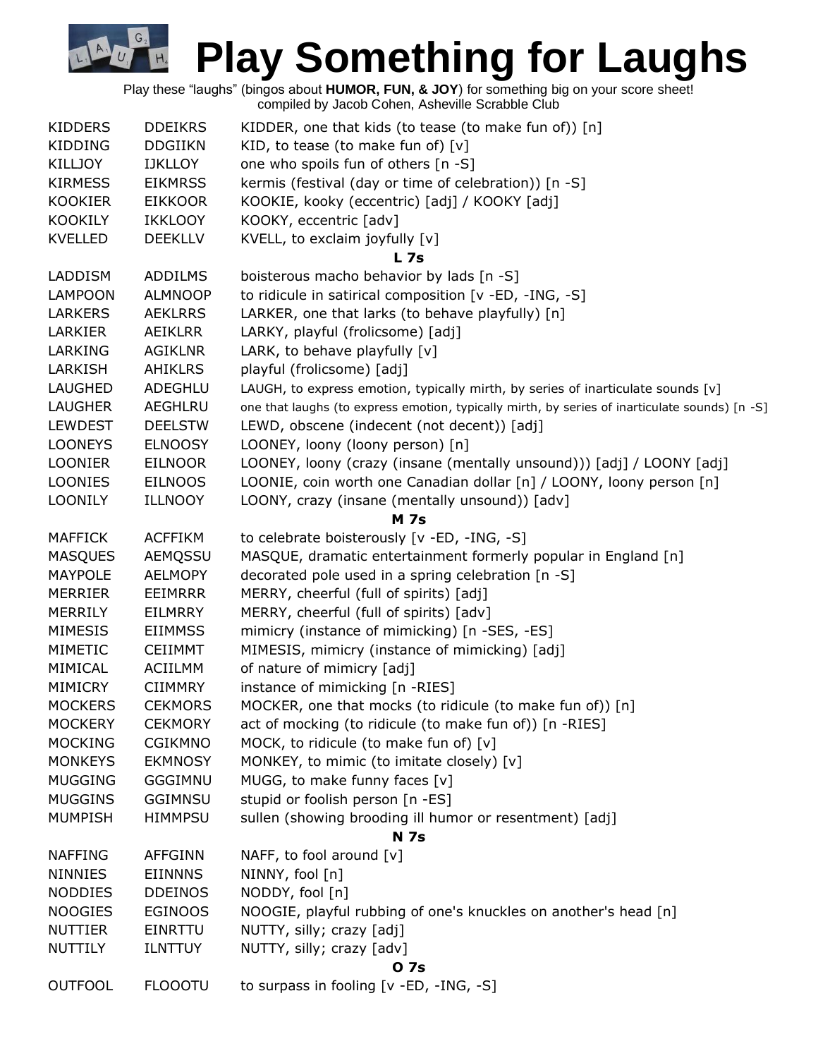Play these "laughs" (bingos about **HUMOR, FUN, & JOY**) for something big on your score sheet! compiled by Jacob Cohen, Asheville Scrabble Club

G.

| <b>KIDDERS</b> | <b>DDEIKRS</b> | KIDDER, one that kids (to tease (to make fun of)) [n]                                          |  |  |  |
|----------------|----------------|------------------------------------------------------------------------------------------------|--|--|--|
| <b>KIDDING</b> | <b>DDGIIKN</b> | KID, to tease (to make fun of) $[v]$                                                           |  |  |  |
| <b>KILLJOY</b> | <b>IJKLLOY</b> | one who spoils fun of others [n -S]                                                            |  |  |  |
| <b>KIRMESS</b> | <b>EIKMRSS</b> | kermis (festival (day or time of celebration)) [n -S]                                          |  |  |  |
| <b>KOOKIER</b> | <b>EIKKOOR</b> | KOOKIE, kooky (eccentric) [adj] / KOOKY [adj]                                                  |  |  |  |
| <b>KOOKILY</b> | <b>IKKLOOY</b> | KOOKY, eccentric [adv]                                                                         |  |  |  |
| <b>KVELLED</b> | <b>DEEKLLV</b> | KVELL, to exclaim joyfully [v]                                                                 |  |  |  |
|                |                | L <sub>7s</sub>                                                                                |  |  |  |
| LADDISM        | <b>ADDILMS</b> | boisterous macho behavior by lads [n -S]                                                       |  |  |  |
| <b>LAMPOON</b> | <b>ALMNOOP</b> | to ridicule in satirical composition [v -ED, -ING, -S]                                         |  |  |  |
| <b>LARKERS</b> | <b>AEKLRRS</b> | LARKER, one that larks (to behave playfully) [n]                                               |  |  |  |
| LARKIER        | AEIKLRR        | LARKY, playful (frolicsome) [adj]                                                              |  |  |  |
| LARKING        | AGIKLNR        | LARK, to behave playfully [v]                                                                  |  |  |  |
| LARKISH        | <b>AHIKLRS</b> | playful (frolicsome) [adj]                                                                     |  |  |  |
| LAUGHED        | ADEGHLU        | LAUGH, to express emotion, typically mirth, by series of inarticulate sounds [v]               |  |  |  |
| LAUGHER        | AEGHLRU        | one that laughs (to express emotion, typically mirth, by series of inarticulate sounds) [n -S] |  |  |  |
| <b>LEWDEST</b> | <b>DEELSTW</b> | LEWD, obscene (indecent (not decent)) [adj]                                                    |  |  |  |
| <b>LOONEYS</b> | <b>ELNOOSY</b> | LOONEY, loony (loony person) [n]                                                               |  |  |  |
| <b>LOONIER</b> | <b>EILNOOR</b> | LOONEY, loony (crazy (insane (mentally unsound))) [adj] / LOONY [adj]                          |  |  |  |
| <b>LOONIES</b> | <b>EILNOOS</b> | LOONIE, coin worth one Canadian dollar [n] / LOONY, loony person [n]                           |  |  |  |
| <b>LOONILY</b> | <b>ILLNOOY</b> | LOONY, crazy (insane (mentally unsound)) [adv]                                                 |  |  |  |
|                |                | <b>M</b> 7s                                                                                    |  |  |  |
| <b>MAFFICK</b> | <b>ACFFIKM</b> | to celebrate boisterously [v -ED, -ING, -S]                                                    |  |  |  |
| <b>MASQUES</b> | AEMQSSU        | MASQUE, dramatic entertainment formerly popular in England [n]                                 |  |  |  |
| <b>MAYPOLE</b> | <b>AELMOPY</b> | decorated pole used in a spring celebration [n -S]                                             |  |  |  |
| <b>MERRIER</b> | <b>EEIMRRR</b> | MERRY, cheerful (full of spirits) [adj]                                                        |  |  |  |
| MERRILY        | EILMRRY        | MERRY, cheerful (full of spirits) [adv]                                                        |  |  |  |
| <b>MIMESIS</b> | <b>EIIMMSS</b> | mimicry (instance of mimicking) [n -SES, -ES]                                                  |  |  |  |
| MIMETIC        | <b>CEIIMMT</b> | MIMESIS, mimicry (instance of mimicking) [adj]                                                 |  |  |  |
| MIMICAL        | <b>ACIILMM</b> | of nature of mimicry [adj]                                                                     |  |  |  |
| MIMICRY        | <b>CIIMMRY</b> | instance of mimicking [n -RIES]                                                                |  |  |  |
| <b>MOCKERS</b> | <b>CEKMORS</b> | MOCKER, one that mocks (to ridicule (to make fun of)) [n]                                      |  |  |  |
| <b>MOCKERY</b> | <b>CEKMORY</b> | act of mocking (to ridicule (to make fun of)) [n -RIES]                                        |  |  |  |
| <b>MOCKING</b> | <b>CGIKMNO</b> | MOCK, to ridicule (to make fun of) [v]                                                         |  |  |  |
| <b>MONKEYS</b> | <b>EKMNOSY</b> | MONKEY, to mimic (to imitate closely) [v]                                                      |  |  |  |
| <b>MUGGING</b> | GGGIMNU        | MUGG, to make funny faces [v]                                                                  |  |  |  |
| <b>MUGGINS</b> | <b>GGIMNSU</b> | stupid or foolish person [n -ES]                                                               |  |  |  |
| <b>MUMPISH</b> | <b>HIMMPSU</b> | sullen (showing brooding ill humor or resentment) [adj]                                        |  |  |  |
|                |                | <b>N</b> 7s                                                                                    |  |  |  |
| <b>NAFFING</b> | <b>AFFGINN</b> | NAFF, to fool around $[v]$                                                                     |  |  |  |
| <b>NINNIES</b> | <b>EIINNNS</b> | NINNY, fool [n]                                                                                |  |  |  |
| <b>NODDIES</b> | <b>DDEINOS</b> | NODDY, fool [n]                                                                                |  |  |  |
| <b>NOOGIES</b> | <b>EGINOOS</b> | NOOGIE, playful rubbing of one's knuckles on another's head [n]                                |  |  |  |
| <b>NUTTIER</b> | <b>EINRTTU</b> | NUTTY, silly; crazy [adj]                                                                      |  |  |  |
| NUTTILY        | <b>ILNTTUY</b> | NUTTY, silly; crazy [adv]                                                                      |  |  |  |
|                |                | 0 7s                                                                                           |  |  |  |
| <b>OUTFOOL</b> | <b>FLOOOTU</b> | to surpass in fooling [v -ED, -ING, -S]                                                        |  |  |  |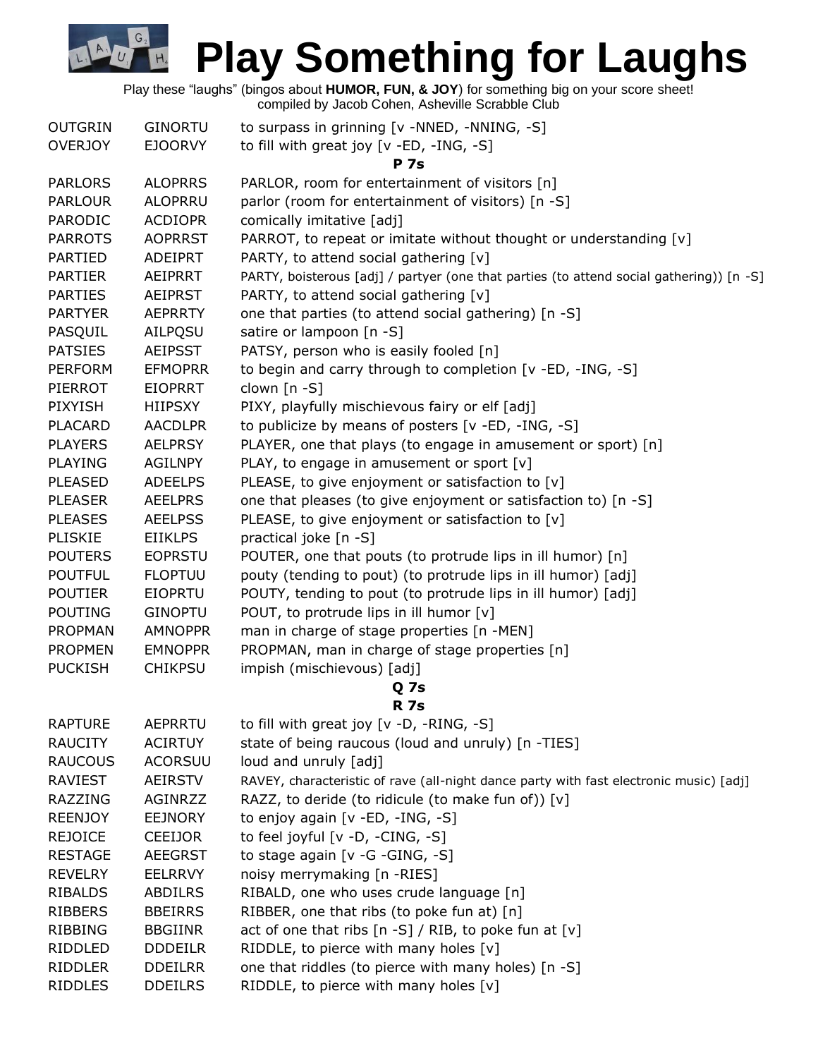Play these "laughs" (bingos about **HUMOR, FUN, & JOY**) for something big on your score sheet!

compiled by Jacob Cohen, Asheville Scrabble Club  $\overline{O}$ UTCRIN  $\overline{O}$  CINORTLL to surpass in gripping  $\overline{N}$  -NNED, -NNING,  $\overline{S}$ ]

 $G<sub>2</sub>$ 

 $U_{1}$ 

E

| UUTGRIN        | <b>GINURTU</b> | to surpass in grinning TV -NNED, -NNING, -51                                             |  |  |  |  |
|----------------|----------------|------------------------------------------------------------------------------------------|--|--|--|--|
| <b>OVERJOY</b> | <b>EJOORVY</b> | to fill with great joy [v -ED, -ING, -S]                                                 |  |  |  |  |
|                |                | <b>P</b> 7s                                                                              |  |  |  |  |
| <b>PARLORS</b> | <b>ALOPRRS</b> | PARLOR, room for entertainment of visitors [n]                                           |  |  |  |  |
| <b>PARLOUR</b> | <b>ALOPRRU</b> | parlor (room for entertainment of visitors) [n -S]                                       |  |  |  |  |
| PARODIC        | <b>ACDIOPR</b> | comically imitative [adj]                                                                |  |  |  |  |
| <b>PARROTS</b> | <b>AOPRRST</b> | PARROT, to repeat or imitate without thought or understanding [v]                        |  |  |  |  |
| <b>PARTIED</b> | ADEIPRT        | PARTY, to attend social gathering [v]                                                    |  |  |  |  |
| <b>PARTIER</b> | AEIPRRT        | PARTY, boisterous [adj] / partyer (one that parties (to attend social gathering)) [n -S] |  |  |  |  |
| <b>PARTIES</b> | <b>AEIPRST</b> | PARTY, to attend social gathering [v]                                                    |  |  |  |  |
| <b>PARTYER</b> | <b>AEPRRTY</b> | one that parties (to attend social gathering) [n -S]                                     |  |  |  |  |
| PASQUIL        | AILPQSU        | satire or lampoon [n -S]                                                                 |  |  |  |  |
| <b>PATSIES</b> | <b>AEIPSST</b> | PATSY, person who is easily fooled [n]                                                   |  |  |  |  |
| <b>PERFORM</b> | <b>EFMOPRR</b> | to begin and carry through to completion [v -ED, -ING, -S]                               |  |  |  |  |
| PIERROT        | <b>EIOPRRT</b> | clown [n -S]                                                                             |  |  |  |  |
| <b>PIXYISH</b> | HIIPSXY        | PIXY, playfully mischievous fairy or elf [adj]                                           |  |  |  |  |
| <b>PLACARD</b> | <b>AACDLPR</b> | to publicize by means of posters [v -ED, -ING, -S]                                       |  |  |  |  |
| <b>PLAYERS</b> | <b>AELPRSY</b> | PLAYER, one that plays (to engage in amusement or sport) [n]                             |  |  |  |  |
| <b>PLAYING</b> | <b>AGILNPY</b> | PLAY, to engage in amusement or sport [v]                                                |  |  |  |  |
| <b>PLEASED</b> | <b>ADEELPS</b> | PLEASE, to give enjoyment or satisfaction to [v]                                         |  |  |  |  |
| <b>PLEASER</b> | <b>AEELPRS</b> | one that pleases (to give enjoyment or satisfaction to) [n -S]                           |  |  |  |  |
| <b>PLEASES</b> | <b>AEELPSS</b> | PLEASE, to give enjoyment or satisfaction to [v]                                         |  |  |  |  |
| <b>PLISKIE</b> | <b>EIIKLPS</b> | practical joke [n -S]                                                                    |  |  |  |  |
| <b>POUTERS</b> | <b>EOPRSTU</b> | POUTER, one that pouts (to protrude lips in ill humor) [n]                               |  |  |  |  |
| <b>POUTFUL</b> | <b>FLOPTUU</b> | pouty (tending to pout) (to protrude lips in ill humor) [adj]                            |  |  |  |  |
| <b>POUTIER</b> | EIOPRTU        | POUTY, tending to pout (to protrude lips in ill humor) [adj]                             |  |  |  |  |
| <b>POUTING</b> | <b>GINOPTU</b> | POUT, to protrude lips in ill humor [v]                                                  |  |  |  |  |
| <b>PROPMAN</b> | <b>AMNOPPR</b> | man in charge of stage properties [n -MEN]                                               |  |  |  |  |
| <b>PROPMEN</b> | <b>EMNOPPR</b> | PROPMAN, man in charge of stage properties [n]                                           |  |  |  |  |
| <b>PUCKISH</b> | <b>CHIKPSU</b> | impish (mischievous) [adj]                                                               |  |  |  |  |
|                |                | Q <sub>7s</sub>                                                                          |  |  |  |  |
|                |                | <b>R</b> 7s                                                                              |  |  |  |  |
| <b>RAPTURE</b> | AEPRRTU        | to fill with great joy [v -D, -RING, -S]                                                 |  |  |  |  |
| <b>RAUCITY</b> | <b>ACIRTUY</b> | state of being raucous (loud and unruly) [n -TIES]                                       |  |  |  |  |
| <b>RAUCOUS</b> | <b>ACORSUU</b> | loud and unruly [adj]                                                                    |  |  |  |  |
| <b>RAVIEST</b> | <b>AEIRSTV</b> | RAVEY, characteristic of rave (all-night dance party with fast electronic music) [adj]   |  |  |  |  |
| <b>RAZZING</b> | AGINRZZ        | RAZZ, to deride (to ridicule (to make fun of)) [v]                                       |  |  |  |  |
| <b>REENJOY</b> | <b>EEJNORY</b> | to enjoy again [v -ED, -ING, -S]                                                         |  |  |  |  |
| <b>REJOICE</b> | <b>CEEIJOR</b> | to feel joyful [v -D, -CING, -S]                                                         |  |  |  |  |
| <b>RESTAGE</b> | <b>AEEGRST</b> | to stage again [v -G -GING, -S]                                                          |  |  |  |  |
| <b>REVELRY</b> | <b>EELRRVY</b> | noisy merrymaking [n -RIES]                                                              |  |  |  |  |
| <b>RIBALDS</b> | <b>ABDILRS</b> | RIBALD, one who uses crude language [n]                                                  |  |  |  |  |
| <b>RIBBERS</b> | <b>BBEIRRS</b> | RIBBER, one that ribs (to poke fun at) [n]                                               |  |  |  |  |
| RIBBING        | <b>BBGIINR</b> | act of one that ribs $[n-S] / RIB$ , to poke fun at $[v]$                                |  |  |  |  |
| RIDDLED        | <b>DDDEILR</b> | RIDDLE, to pierce with many holes $[v]$                                                  |  |  |  |  |
| RIDDLER        | <b>DDEILRR</b> | one that riddles (to pierce with many holes) [n -S]                                      |  |  |  |  |
| <b>RIDDLES</b> | <b>DDEILRS</b> | RIDDLE, to pierce with many holes [v]                                                    |  |  |  |  |
|                |                |                                                                                          |  |  |  |  |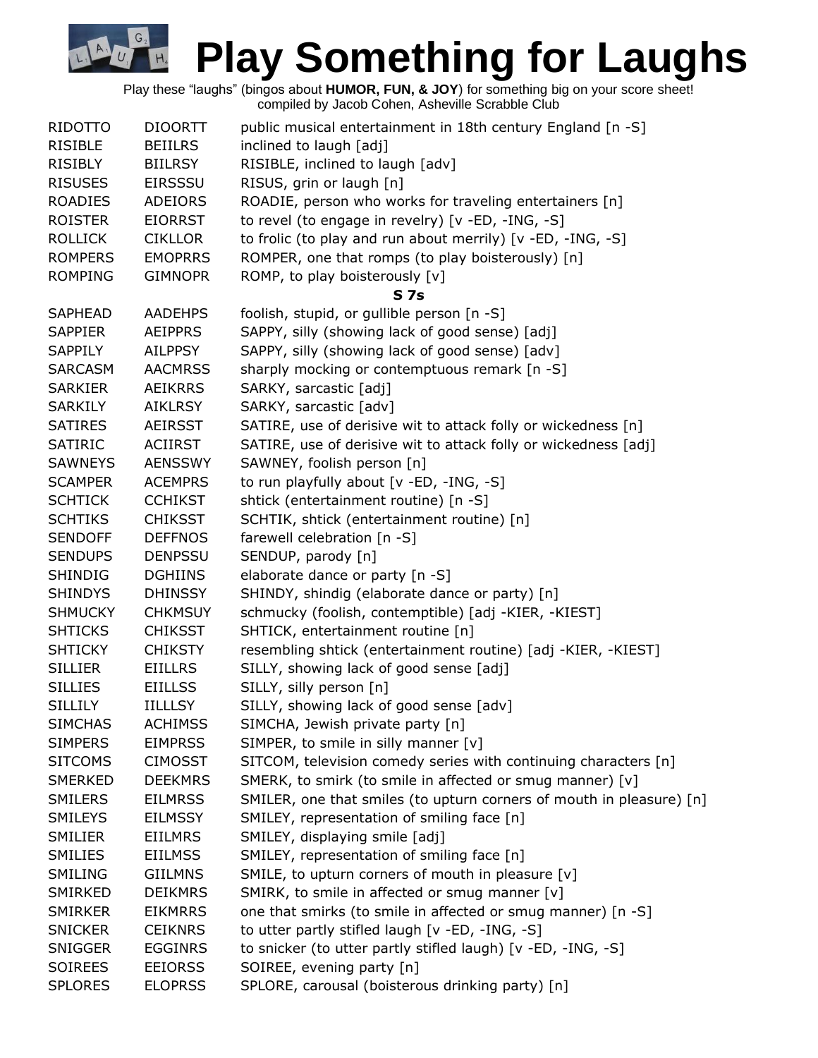Play these "laughs" (bingos about **HUMOR, FUN, & JOY**) for something big on your score sheet! compiled by Jacob Cohen, Asheville Scrabble Club

G.

| <b>RIDOTTO</b> | <b>DIOORTT</b> | public musical entertainment in 18th century England [n -S]          |  |
|----------------|----------------|----------------------------------------------------------------------|--|
| <b>RISIBLE</b> | <b>BEIILRS</b> | inclined to laugh [adj]                                              |  |
| <b>RISIBLY</b> | <b>BIILRSY</b> | RISIBLE, inclined to laugh [adv]                                     |  |
| <b>RISUSES</b> | <b>EIRSSSU</b> | RISUS, grin or laugh [n]                                             |  |
| <b>ROADIES</b> | ADEIORS        | ROADIE, person who works for traveling entertainers [n]              |  |
| <b>ROISTER</b> | <b>EIORRST</b> | to revel (to engage in revelry) [v -ED, -ING, -S]                    |  |
| <b>ROLLICK</b> | <b>CIKLLOR</b> | to frolic (to play and run about merrily) [v -ED, -ING, -S]          |  |
| <b>ROMPERS</b> | <b>EMOPRRS</b> | ROMPER, one that romps (to play boisterously) [n]                    |  |
| <b>ROMPING</b> | <b>GIMNOPR</b> | ROMP, to play boisterously [v]                                       |  |
|                |                | <b>S7s</b>                                                           |  |
| <b>SAPHEAD</b> | <b>AADEHPS</b> | foolish, stupid, or gullible person [n -S]                           |  |
| <b>SAPPIER</b> | <b>AEIPPRS</b> | SAPPY, silly (showing lack of good sense) [adj]                      |  |
| SAPPILY        | <b>AILPPSY</b> | SAPPY, silly (showing lack of good sense) [adv]                      |  |
| <b>SARCASM</b> | <b>AACMRSS</b> | sharply mocking or contemptuous remark [n -S]                        |  |
| <b>SARKIER</b> | <b>AEIKRRS</b> | SARKY, sarcastic [adj]                                               |  |
| <b>SARKILY</b> | <b>AIKLRSY</b> | SARKY, sarcastic [adv]                                               |  |
| <b>SATIRES</b> | <b>AEIRSST</b> | SATIRE, use of derisive wit to attack folly or wickedness [n]        |  |
| <b>SATIRIC</b> | <b>ACIIRST</b> | SATIRE, use of derisive wit to attack folly or wickedness [adj]      |  |
| <b>SAWNEYS</b> | <b>AENSSWY</b> | SAWNEY, foolish person [n]                                           |  |
| <b>SCAMPER</b> | <b>ACEMPRS</b> | to run playfully about [v -ED, -ING, -S]                             |  |
| <b>SCHTICK</b> | <b>CCHIKST</b> | shtick (entertainment routine) [n -S]                                |  |
| <b>SCHTIKS</b> | <b>CHIKSST</b> | SCHTIK, shtick (entertainment routine) [n]                           |  |
| <b>SENDOFF</b> | <b>DEFFNOS</b> | farewell celebration [n -S]                                          |  |
| <b>SENDUPS</b> | <b>DENPSSU</b> | SENDUP, parody [n]                                                   |  |
| <b>SHINDIG</b> | <b>DGHIINS</b> | elaborate dance or party [n -S]                                      |  |
| <b>SHINDYS</b> | <b>DHINSSY</b> | SHINDY, shindig (elaborate dance or party) [n]                       |  |
| <b>SHMUCKY</b> | <b>CHKMSUY</b> | schmucky (foolish, contemptible) [adj -KIER, -KIEST]                 |  |
| <b>SHTICKS</b> | <b>CHIKSST</b> | SHTICK, entertainment routine [n]                                    |  |
| <b>SHTICKY</b> | <b>CHIKSTY</b> | resembling shtick (entertainment routine) [adj -KIER, -KIEST]        |  |
| <b>SILLIER</b> | <b>EIILLRS</b> | SILLY, showing lack of good sense [adj]                              |  |
| <b>SILLIES</b> | <b>EIILLSS</b> | SILLY, silly person [n]                                              |  |
| <b>SILLILY</b> | <b>IILLLSY</b> | SILLY, showing lack of good sense [adv]                              |  |
| <b>SIMCHAS</b> | <b>ACHIMSS</b> | SIMCHA, Jewish private party [n]                                     |  |
| <b>SIMPERS</b> | <b>EIMPRSS</b> | SIMPER, to smile in silly manner [v]                                 |  |
| <b>SITCOMS</b> | <b>CIMOSST</b> | SITCOM, television comedy series with continuing characters [n]      |  |
| <b>SMERKED</b> | <b>DEEKMRS</b> | SMERK, to smirk (to smile in affected or smug manner) [v]            |  |
| SMILERS        | <b>EILMRSS</b> | SMILER, one that smiles (to upturn corners of mouth in pleasure) [n] |  |
| <b>SMILEYS</b> | <b>EILMSSY</b> | SMILEY, representation of smiling face [n]                           |  |
| <b>SMILIER</b> | <b>EIILMRS</b> | SMILEY, displaying smile [adj]                                       |  |
| <b>SMILIES</b> | <b>EIILMSS</b> | SMILEY, representation of smiling face [n]                           |  |
| <b>SMILING</b> | <b>GIILMNS</b> | SMILE, to upturn corners of mouth in pleasure [v]                    |  |
| SMIRKED        | <b>DEIKMRS</b> | SMIRK, to smile in affected or smug manner [v]                       |  |
| <b>SMIRKER</b> | <b>EIKMRRS</b> | one that smirks (to smile in affected or smug manner) [n -S]         |  |
| <b>SNICKER</b> | <b>CEIKNRS</b> | to utter partly stifled laugh [v -ED, -ING, -S]                      |  |
| <b>SNIGGER</b> | <b>EGGINRS</b> | to snicker (to utter partly stifled laugh) [v -ED, -ING, -S]         |  |
| <b>SOIREES</b> | <b>EEIORSS</b> | SOIREE, evening party [n]                                            |  |
| <b>SPLORES</b> | <b>ELOPRSS</b> | SPLORE, carousal (boisterous drinking party) [n]                     |  |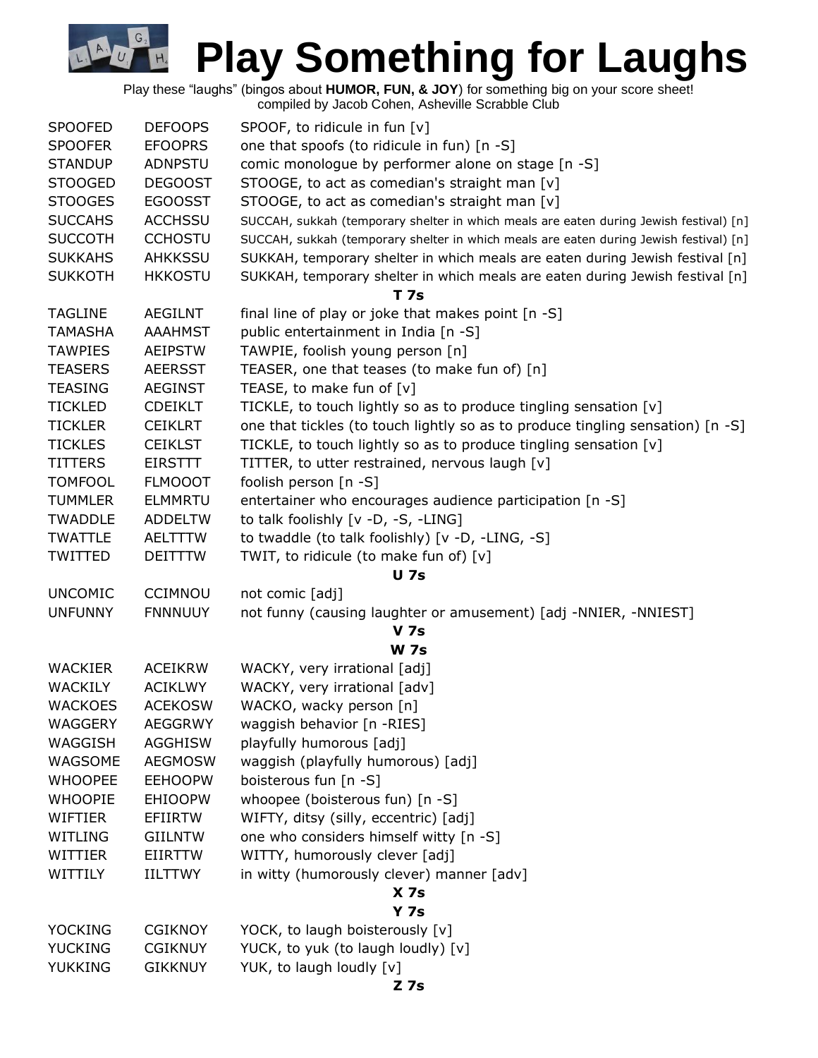Play these "laughs" (bingos about **HUMOR, FUN, & JOY**) for something big on your score sheet!

| compiled by Jacob Cohen, Asheville Scrabble Club |  |  |
|--------------------------------------------------|--|--|

G.

| <b>SPOOFED</b> | <b>DEFOOPS</b> | SPOOF, to ridicule in fun [v]                                                          |  |  |  |
|----------------|----------------|----------------------------------------------------------------------------------------|--|--|--|
| <b>SPOOFER</b> | <b>EFOOPRS</b> | one that spoofs (to ridicule in fun) [n -S]                                            |  |  |  |
| <b>STANDUP</b> | ADNPSTU        | comic monologue by performer alone on stage [n -S]                                     |  |  |  |
| <b>STOOGED</b> | <b>DEGOOST</b> | STOOGE, to act as comedian's straight man [v]                                          |  |  |  |
| <b>STOOGES</b> | <b>EGOOSST</b> | STOOGE, to act as comedian's straight man [v]                                          |  |  |  |
| <b>SUCCAHS</b> | <b>ACCHSSU</b> | SUCCAH, sukkah (temporary shelter in which meals are eaten during Jewish festival) [n] |  |  |  |
| <b>SUCCOTH</b> | <b>CCHOSTU</b> | SUCCAH, sukkah (temporary shelter in which meals are eaten during Jewish festival) [n] |  |  |  |
| <b>SUKKAHS</b> | AHKKSSU        | SUKKAH, temporary shelter in which meals are eaten during Jewish festival [n]          |  |  |  |
| <b>SUKKOTH</b> | <b>HKKOSTU</b> | SUKKAH, temporary shelter in which meals are eaten during Jewish festival [n]          |  |  |  |
|                |                | <b>T7s</b>                                                                             |  |  |  |
| <b>TAGLINE</b> | <b>AEGILNT</b> | final line of play or joke that makes point [n -S]                                     |  |  |  |
| TAMASHA        | <b>AAAHMST</b> | public entertainment in India [n -S]                                                   |  |  |  |
| <b>TAWPIES</b> | <b>AEIPSTW</b> | TAWPIE, foolish young person [n]                                                       |  |  |  |
| <b>TEASERS</b> | <b>AEERSST</b> | TEASER, one that teases (to make fun of) [n]                                           |  |  |  |
| <b>TEASING</b> | <b>AEGINST</b> | TEASE, to make fun of [v]                                                              |  |  |  |
| <b>TICKLED</b> | <b>CDEIKLT</b> | TICKLE, to touch lightly so as to produce tingling sensation [v]                       |  |  |  |
| <b>TICKLER</b> | <b>CEIKLRT</b> | one that tickles (to touch lightly so as to produce tingling sensation) [n -S]         |  |  |  |
| <b>TICKLES</b> | <b>CEIKLST</b> | TICKLE, to touch lightly so as to produce tingling sensation [v]                       |  |  |  |
| <b>TITTERS</b> | <b>EIRSTTT</b> | TITTER, to utter restrained, nervous laugh [v]                                         |  |  |  |
| <b>TOMFOOL</b> | <b>FLMOOOT</b> | foolish person $[n -S]$                                                                |  |  |  |
| <b>TUMMLER</b> | <b>ELMMRTU</b> | entertainer who encourages audience participation [n -S]                               |  |  |  |
| <b>TWADDLE</b> | <b>ADDELTW</b> | to talk foolishly [v -D, -S, -LING]                                                    |  |  |  |
| <b>TWATTLE</b> | <b>AELTTTW</b> | to twaddle (to talk foolishly) [v -D, -LING, -S]                                       |  |  |  |
| TWITTED        | <b>DEITTTW</b> | TWIT, to ridicule (to make fun of) [v]                                                 |  |  |  |
|                |                | <b>U</b> 7s                                                                            |  |  |  |
| <b>UNCOMIC</b> | <b>CCIMNOU</b> | not comic [adj]                                                                        |  |  |  |
| <b>UNFUNNY</b> | <b>FNNNUUY</b> | not funny (causing laughter or amusement) [adj -NNIER, -NNIEST]                        |  |  |  |
|                |                | <b>V</b> 7s                                                                            |  |  |  |
|                |                | <b>W</b> 7s                                                                            |  |  |  |
| <b>WACKIER</b> | <b>ACEIKRW</b> | WACKY, very irrational [adj]                                                           |  |  |  |
| <b>WACKILY</b> | <b>ACIKLWY</b> | WACKY, very irrational [adv]                                                           |  |  |  |
| <b>WACKOES</b> | <b>ACEKOSW</b> | WACKO, wacky person [n]                                                                |  |  |  |
| <b>WAGGERY</b> | <b>AEGGRWY</b> | waggish behavior [n -RIES]                                                             |  |  |  |
| WAGGISH        | <b>AGGHISW</b> | playfully humorous [adj]                                                               |  |  |  |
| WAGSOME        | <b>AEGMOSW</b> | waggish (playfully humorous) [adj]                                                     |  |  |  |
| <b>WHOOPEE</b> | <b>EEHOOPW</b> | boisterous fun [n -S]                                                                  |  |  |  |
| <b>WHOOPIE</b> | <b>EHIOOPW</b> | whoopee (boisterous fun) [n -S]                                                        |  |  |  |
| WIFTIER        | <b>EFIIRTW</b> | WIFTY, ditsy (silly, eccentric) [adj]                                                  |  |  |  |
| WITLING        | <b>GIILNTW</b> | one who considers himself witty [n -S]                                                 |  |  |  |
| WITTIER        | <b>EIIRTTW</b> | WITTY, humorously clever [adj]                                                         |  |  |  |
| WITTILY        | <b>IILTTWY</b> | in witty (humorously clever) manner [adv]                                              |  |  |  |
|                |                | X <sub>7s</sub>                                                                        |  |  |  |
|                |                | Y <sub>7s</sub>                                                                        |  |  |  |
| <b>YOCKING</b> | <b>CGIKNOY</b> | YOCK, to laugh boisterously [v]                                                        |  |  |  |
| <b>YUCKING</b> | <b>CGIKNUY</b> | YUCK, to yuk (to laugh loudly) [v]                                                     |  |  |  |
| <b>YUKKING</b> | <b>GIKKNUY</b> | YUK, to laugh loudly [v]                                                               |  |  |  |